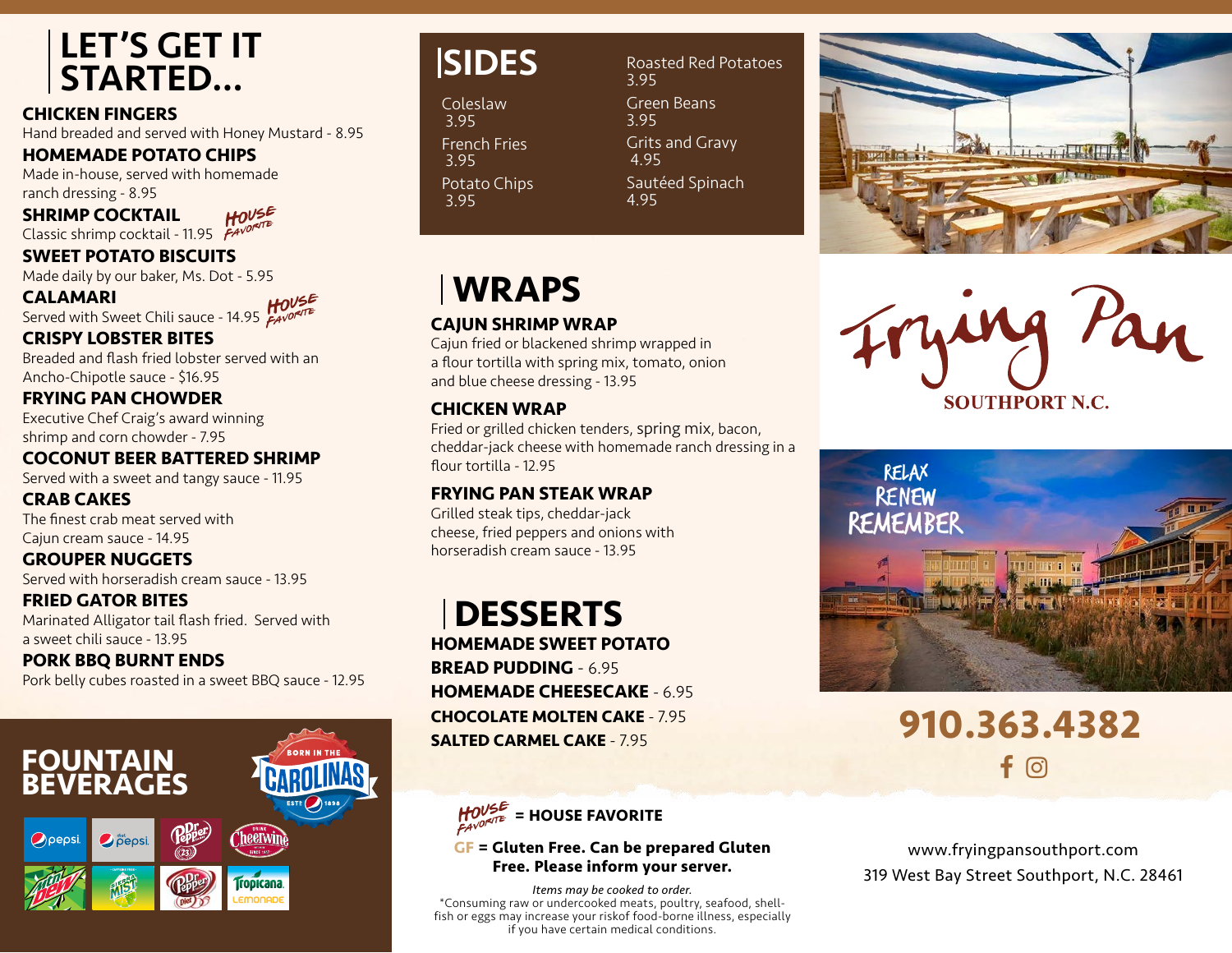### LET'S GET IT STARTED…

**CHICKEN FINGERS**

Hand breaded and served with Honey Mustard - 8.95

**HOMEMADE POTATO CHIPS**

Made in-house, served with homemade ranch dressing - 8.95  $HOVSE$ 

**SHRIMP COCKTAIL**

Classic shrimp cocktail - 11.95 FAVOR

**SWEET POTATO BISCUITS**

Made daily by our baker, Ms. Dot - 5.95

**CALAMARI**  $HOVSE$ Served with Sweet Chili sauce - 14.95 **FANORATE** 

**CRISPY LOBSTER BITES** Breaded and flash fried lobster served with an Ancho-Chipotle sauce - \$16.95

**FRYING PAN CHOWDER** Executive Chef Craig's award winning shrimp and corn chowder - 7.95

**COCONUT BEER BATTERED SHRIMP** Served with a sweet and tangy sauce - 11.95

**CRAB CAKES** The finest crab meat served with Cajun cream sauce - 14.95

**GROUPER NUGGETS** Served with horseradish cream sauce - 13.95

**FRIED GATOR BITES** Marinated Alligator tail flash fried. Served with a sweet chili sauce - 13.95

**PORK BBQ BURNT ENDS** Pork belly cubes roasted in a sweet BBQ sauce - 12.95



# **SIDES**

Coleslaw 3.95 French Fries 3.95 Potato Chips 3.95

#### 3.95 Green Beans 3.95 Grits and Gravy 4.95 Sautéed Spinach

4.95

Roasted Red Potatoes







 $f$  (o) **910.363.4382**

www.fryingpansouthport.com 319 West Bay Street Southport, N.C. 28461

# **WRAPS**

### **CAJUN SHRIMP WRAP**

Cajun fried or blackened shrimp wrapped in a flour tortilla with spring mix, tomato, onion and blue cheese dressing - 13.95

### **CHICKEN WRAP**

Fried or grilled chicken tenders, spring mix, bacon, cheddar-jack cheese with homemade ranch dressing in a flour tortilla - 12.95

#### **FRYING PAN STEAK WRAP**

Grilled steak tips, cheddar-jack cheese, fried peppers and onions with horseradish cream sauce - 13.95

## **DESSERTS**

**HOMEMADE SWEET POTATO BREAD PUDDING** - 6.95 **HOMEMADE CHEESECAKE** - 6.95 **CHOCOLATE MOLTEN CAKE** - 7.95 **SALTED CARMEL CAKE** - 7.95



#### **GF = Gluten Free. Can be prepared Gluten Free. Please inform your server.**

*Items may be cooked to order.* \*Consuming raw or undercooked meats, poultry, seafood, shellfish or eggs may increase your riskof food-borne illness, especially if you have certain medical conditions.